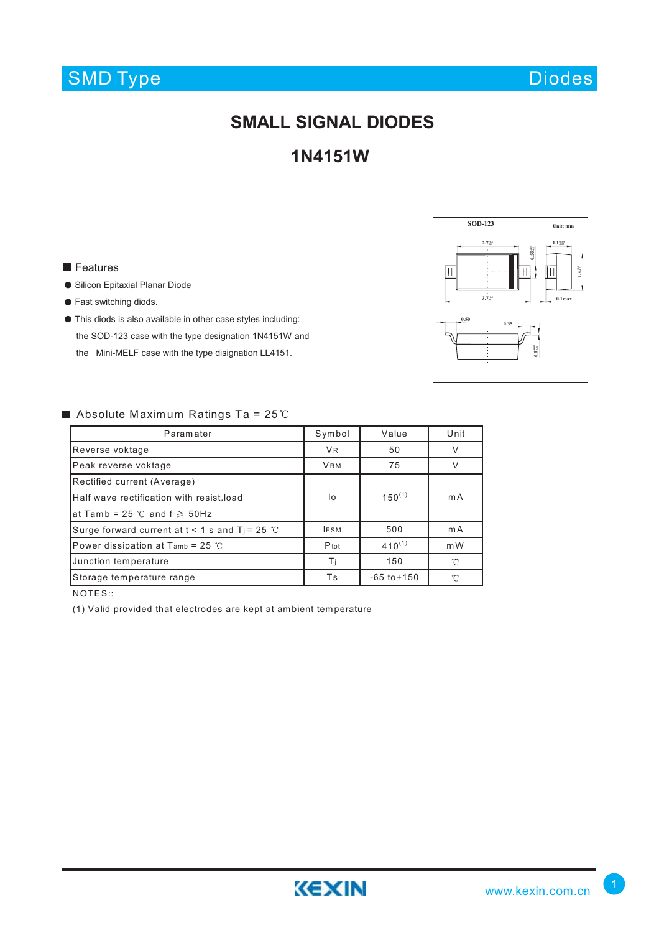# SMD Type

Diodes

# **SMALL SIGNAL DIODES**

### **1N4151W**

#### **Features**

- Silicon Epitaxial Planar Diode
- Fast switching diods.
- This diods is also available in other case styles including: the SOD-123 case with the type designation 1N4151W and the Mini-MELF case with the type disignation LL4151.



#### Absolute Maximum Ratings Ta =  $25^{\circ}$ C

| Paramater                                            | Symbol      | Value           | Unit         |
|------------------------------------------------------|-------------|-----------------|--------------|
| Reverse voktage                                      | <b>VR</b>   | 50              | $\vee$       |
| Peak reverse voktage                                 | <b>VRM</b>  | 75              | $\vee$       |
| Rectified current (Average)                          |             |                 |              |
| Half wave rectification with resist load             | I٥          | $150^{(1)}$     | m A          |
| at Tamb = 25 $\degree$ C and f $\geq$ 50Hz           |             |                 |              |
| Surge forward current at $t < 1$ s and $T_i = 25$ °C | <b>IFSM</b> | 500             | mA           |
| Power dissipation at T <sub>amb</sub> = 25 °C        | Ptot        | $410^{(1)}$     | mW           |
| Junction temperature                                 | Τi          | 150             | 'n           |
| Storage temperature range                            | Τs          | $-65$ to $+150$ | $^{\circ}$ C |

NOTES::

(1) Valid provided that electrodes are kept at am bient tem perature